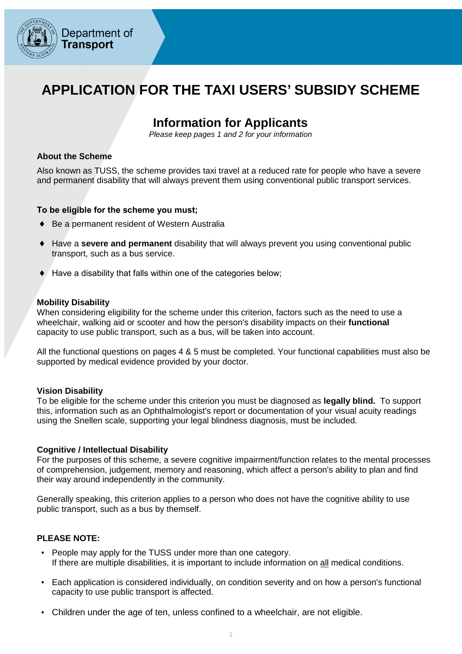

### **APPLICATION FOR THE TAXI USERS' SUBSIDY SCHEME**

### **Information for Applicants**

Please keep pages 1 and 2 for your information

#### **About the Scheme**

 Also known as TUSS, the scheme provides taxi travel at a reduced rate for people who have a severe and permanent disability that will always prevent them using conventional public transport services.

#### **To be eligible for the scheme you must;**

- Be a permanent resident of Western Australia
- ♦ Have a **severe and permanent** disability that will always prevent you using conventional public transport, such as a bus service.
- $\bullet$  Have a disability that falls within one of the categories below;

#### **Mobility Disability**

 When considering eligibility for the scheme under this criterion, factors such as the need to use a wheelchair, walking aid or scooter and how the person's disability impacts on their **functional**  capacity to use public transport, such as a bus, will be taken into account.

 All the functional questions on pages 4 & 5 must be completed. Your functional capabilities must also be supported by medical evidence provided by your doctor.

#### **Vision Disability**

 To be eligible for the scheme under this criterion you must be diagnosed as **legally blind.** To support this, information such as an Ophthalmologist's report or documentation of your visual acuity readings using the Snellen scale, supporting your legal blindness diagnosis, must be included.

#### **Cognitive / Intellectual Disability**

 For the purposes of this scheme, a severe cognitive impairment/function relates to the mental processes of comprehension, judgement, memory and reasoning, which affect a person's ability to plan and find their way around independently in the community.

 Generally speaking, this criterion applies to a person who does not have the cognitive ability to use public transport, such as a bus by themself.

#### **PLEASE NOTE:**

- People may apply for the TUSS under more than one category. If there are multiple disabilities, it is important to include information on all medical conditions.
- Each application is considered individually, on condition severity and on how a person's functional capacity to use public transport is affected.
- Children under the age of ten, unless confined to a wheelchair, are not eligible.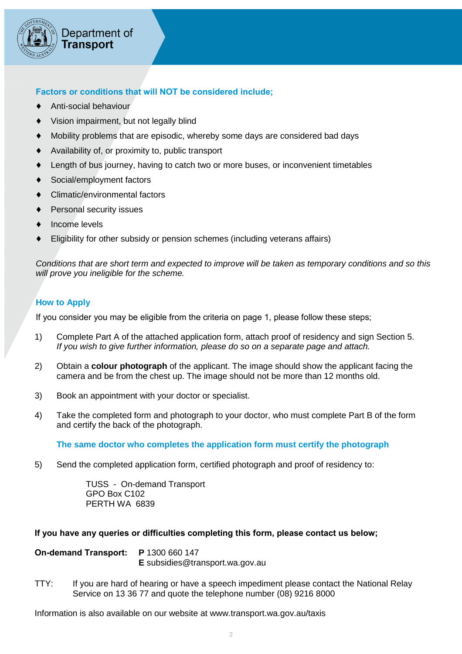

### **Factors or conditions that will NOT be considered include;**

- ♦ Anti-social behaviour
- ♦ Vision impairment, but not legally blind
- ♦ Mobility problems that are episodic, whereby some days are considered bad days
- ♦ Availability of, or proximity to, public transport
- ♦ Length of bus journey, having to catch two or more buses, or inconvenient timetables
- ♦ Social/employment factors
- ♦ Climatic/environmental factors
- ♦ Personal security issues
- Income levels
- ♦ Eligibility for other subsidy or pension schemes (including veterans affairs)

 Conditions that are short term and expected to improve will be taken as temporary conditions and so this will prove you ineligible for the scheme.

### **How to Apply**

If you consider you may be eligible from the criteria on page 1, please follow these steps;

- 1) Complete Part A of the attached application form, attach proof of residency and sign Section 5. If you wish to give further information, please do so on a separate page and attach.
- 2) Obtain a **colour photograph** of the applicant. The image should show the applicant facing the camera and be from the chest up. The image should not be more than 12 months old.
- 3) Book an appointment with your doctor or specialist.
- 4) Take the completed form and photograph to your doctor, who must complete Part B of the form and certify the back of the photograph.

 **The same doctor who completes the application form must certify the photograph** 

5) Send the completed application form, certified photograph and proof of residency to:

 TUSS - On-demand Transport GPO Box C102 PERTH WA 6839

#### **If you have any queries or difficulties completing this form, please contact us below;**

| On-demand Transport: P 1300 660 147 |                                         |
|-------------------------------------|-----------------------------------------|
|                                     | <b>E</b> subsidies @transport.wa.gov.au |

TTY: Service on 13 36 77 and quote the telephone number (08) 9216 8000 If you are hard of hearing or have a speech impediment please contact the National Relay

Information is also available on our website at www.transport.wa.gov.au/taxis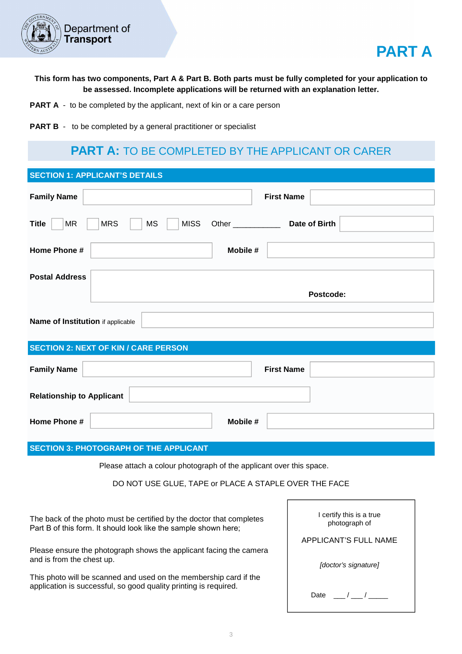



 **This form has two components, Part A & Part B. Both parts must be fully completed for your application to be assessed. Incomplete applications will be returned with an explanation letter.** 

- **PART A** to be completed by the applicant, next of kin or a care person
- **PART B** to be completed by a general practitioner or specialist

### **PART A:** TO BE COMPLETED BY THE APPLICANT OR CARER

| <b>SECTION 1: APPLICANT'S DETAILS</b> |                                                                     |                    |                   |
|---------------------------------------|---------------------------------------------------------------------|--------------------|-------------------|
| <b>Family Name</b>                    |                                                                     |                    | <b>First Name</b> |
| <b>Title</b><br><b>MR</b>             | <b>MS</b><br><b>MISS</b><br><b>MRS</b>                              | Other ____________ | Date of Birth     |
| Home Phone #                          |                                                                     | Mobile #           |                   |
| <b>Postal Address</b>                 |                                                                     |                    |                   |
|                                       |                                                                     |                    | Postcode:         |
| Name of Institution if applicable     |                                                                     |                    |                   |
|                                       | <b>SECTION 2: NEXT OF KIN / CARE PERSON</b>                         |                    |                   |
| <b>Family Name</b>                    |                                                                     |                    | <b>First Name</b> |
| <b>Relationship to Applicant</b>      |                                                                     |                    |                   |
| Home Phone #                          |                                                                     | Mobile #           |                   |
|                                       | <b>SECTION 3: PHOTOGRAPH OF THE APPLICANT</b>                       |                    |                   |
|                                       | Please attach a colour photograph of the applicant over this space. |                    |                   |
|                                       |                                                                     |                    |                   |

DO NOT USE GLUE, TAPE or PLACE A STAPLE OVER THE FACE

 The back of the photo must be certified by the doctor that completes Part B of this form. It should look like the sample shown here;

 Please ensure the photograph shows the applicant facing the camera and is from the chest up.

 This photo will be scanned and used on the membership card if the application is successful, so good quality printing is required.

| I certify this is a true<br>photograph of |  |  |
|-------------------------------------------|--|--|
| APPLICANT'S FULL NAME                     |  |  |
| [doctor's signature]                      |  |  |
| Date<br>$\sqrt{1}$                        |  |  |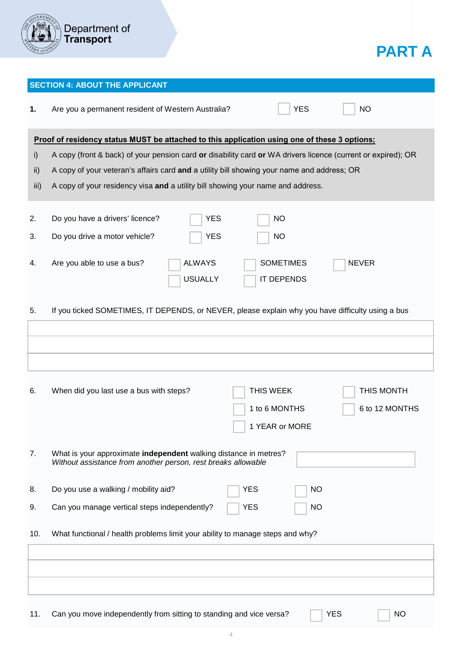

# **PART A**

|      | <b>SECTION 4: ABOUT THE APPLICANT</b>                                                                                             |
|------|-----------------------------------------------------------------------------------------------------------------------------------|
| 1.   | <b>YES</b><br>Are you a permanent resident of Western Australia?<br><b>NO</b>                                                     |
|      | <b>Proof of residency status MUST be attached to this application using one of these 3 options;</b>                               |
| i)   | A copy (front & back) of your pension card or disability card or WA drivers licence (current or expired); OR                      |
| ii)  | A copy of your veteran's affairs card and a utility bill showing your name and address; OR                                        |
| iii) | A copy of your residency visa and a utility bill showing your name and address.                                                   |
|      |                                                                                                                                   |
| 2.   | Do you have a drivers' licence?<br><b>YES</b><br>NO                                                                               |
| 3.   | Do you drive a motor vehicle?<br><b>YES</b><br><b>NO</b>                                                                          |
|      |                                                                                                                                   |
| 4.   | <b>SOMETIMES</b><br>Are you able to use a bus?<br><b>ALWAYS</b><br><b>NEVER</b>                                                   |
|      | <b>IT DEPENDS</b><br><b>USUALLY</b>                                                                                               |
|      |                                                                                                                                   |
| 5.   | If you ticked SOMETIMES, IT DEPENDS, or NEVER, please explain why you have difficulty using a bus                                 |
|      |                                                                                                                                   |
|      |                                                                                                                                   |
|      |                                                                                                                                   |
|      |                                                                                                                                   |
| 6.   | THIS WEEK<br>THIS MONTH<br>When did you last use a bus with steps?                                                                |
|      | 6 to 12 MONTHS<br>1 to 6 MONTHS                                                                                                   |
|      | 1 YEAR or MORE                                                                                                                    |
|      |                                                                                                                                   |
| 7.   | What is your approximate independent walking distance in metres?<br>Without assistance from another person, rest breaks allowable |
|      |                                                                                                                                   |
| 8.   | Do you use a walking / mobility aid?<br><b>NO</b><br><b>YES</b>                                                                   |
| 9.   | Can you manage vertical steps independently?<br>YES<br><b>NO</b>                                                                  |
|      |                                                                                                                                   |
| 10.  | What functional / health problems limit your ability to manage steps and why?                                                     |
|      |                                                                                                                                   |
|      |                                                                                                                                   |
|      |                                                                                                                                   |
|      |                                                                                                                                   |
| 11.  | Can you move independently from sitting to standing and vice versa?<br><b>YES</b><br><b>NO</b>                                    |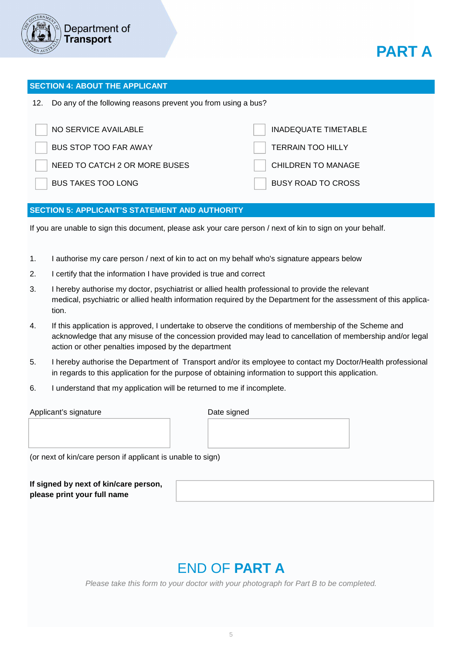



#### **SECTION 4: ABOUT THE APPLICANT**

12. Do any of the following reasons prevent you from using a bus?

| NO SERVICE AVAILABLE          | INADEQUATE TIMETABLE      |
|-------------------------------|---------------------------|
| <b>BUS STOP TOO FAR AWAY</b>  | <b>TERRAIN TOO HILLY</b>  |
| NEED TO CATCH 2 OR MORE BUSES | <b>CHILDREN TO MANAGE</b> |
| <b>BUS TAKES TOO LONG</b>     | <b>BUSY ROAD TO CROSS</b> |

#### **SECTION 5: APPLICANT'S STATEMENT AND AUTHORITY**

If you are unable to sign this document, please ask your care person / next of kin to sign on your behalf.

- 1. I authorise my care person / next of kin to act on my behalf who's signature appears below
- 2. I certify that the information I have provided is true and correct
- 3. I hereby authorise my doctor, psychiatrist or allied health professional to provide the relevant medical, psychiatric or allied health information required by the Department for the assessment of this application.
- 4. If this application is approved, I undertake to observe the conditions of membership of the Scheme and acknowledge that any misuse of the concession provided may lead to cancellation of membership and/or legal action or other penalties imposed by the department
- 5. I hereby authorise the Department of Transport and/or its employee to contact my Doctor/Health professional in regards to this application for the purpose of obtaining information to support this application.
- 6. I understand that my application will be returned to me if incomplete.

Applicant's signature **Date Struck and Applicant** Date signed

(or next of kin/care person if applicant is unable to sign)

 **If signed by next of kin/care person, please print your full name** 

# END OF **PART A**

Please take this form to your doctor with your photograph for Part B to be completed.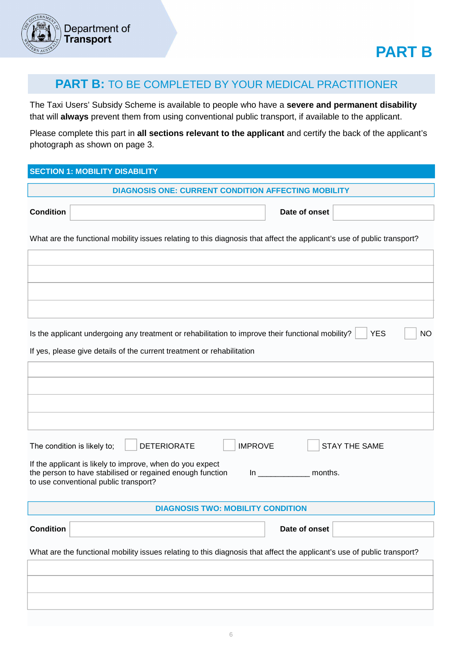

### **PART B:** TO BE COMPLETED BY YOUR MEDICAL PRACTITIONER

 The Taxi Users' Subsidy Scheme is available to people who have a **severe and permanent disability**  that will **always** prevent them from using conventional public transport, if available to the applicant.

 Please complete this part in **all sections relevant to the applicant** and certify the back of the applicant's photograph as shown on page 3.

#### **SECTION 1: MOBILITY DISABILITY**

|                                                                                                                                                                 | <b>DIAGNOSIS ONE: CURRENT CONDITION AFFECTING MOBILITY</b> |                                          |                |                            |                                                                                                                         |    |
|-----------------------------------------------------------------------------------------------------------------------------------------------------------------|------------------------------------------------------------|------------------------------------------|----------------|----------------------------|-------------------------------------------------------------------------------------------------------------------------|----|
| <b>Condition</b>                                                                                                                                                |                                                            |                                          |                | Date of onset              |                                                                                                                         |    |
|                                                                                                                                                                 |                                                            |                                          |                |                            |                                                                                                                         |    |
|                                                                                                                                                                 |                                                            |                                          |                |                            | What are the functional mobility issues relating to this diagnosis that affect the applicant's use of public transport? |    |
|                                                                                                                                                                 |                                                            |                                          |                |                            |                                                                                                                         |    |
|                                                                                                                                                                 |                                                            |                                          |                |                            |                                                                                                                         |    |
|                                                                                                                                                                 |                                                            |                                          |                |                            |                                                                                                                         |    |
|                                                                                                                                                                 |                                                            |                                          |                |                            |                                                                                                                         |    |
| Is the applicant undergoing any treatment or rehabilitation to improve their functional mobility?                                                               |                                                            |                                          |                |                            | <b>YES</b>                                                                                                              | NO |
| If yes, please give details of the current treatment or rehabilitation                                                                                          |                                                            |                                          |                |                            |                                                                                                                         |    |
|                                                                                                                                                                 |                                                            |                                          |                |                            |                                                                                                                         |    |
|                                                                                                                                                                 |                                                            |                                          |                |                            |                                                                                                                         |    |
|                                                                                                                                                                 |                                                            |                                          |                |                            |                                                                                                                         |    |
|                                                                                                                                                                 |                                                            |                                          |                |                            |                                                                                                                         |    |
| The condition is likely to;                                                                                                                                     | <b>DETERIORATE</b>                                         |                                          | <b>IMPROVE</b> |                            | <b>STAY THE SAME</b>                                                                                                    |    |
| If the applicant is likely to improve, when do you expect<br>the person to have stabilised or regained enough function<br>to use conventional public transport? |                                                            |                                          |                | In _______________ months. |                                                                                                                         |    |
|                                                                                                                                                                 |                                                            |                                          |                |                            |                                                                                                                         |    |
|                                                                                                                                                                 |                                                            | <b>DIAGNOSIS TWO: MOBILITY CONDITION</b> |                |                            |                                                                                                                         |    |
| <b>Condition</b>                                                                                                                                                |                                                            |                                          |                | Date of onset              |                                                                                                                         |    |
|                                                                                                                                                                 |                                                            |                                          |                |                            | What are the functional mobility issues relating to this diagnosis that affect the applicant's use of public transport? |    |
|                                                                                                                                                                 |                                                            |                                          |                |                            |                                                                                                                         |    |
|                                                                                                                                                                 |                                                            |                                          |                |                            |                                                                                                                         |    |
|                                                                                                                                                                 |                                                            |                                          |                |                            |                                                                                                                         |    |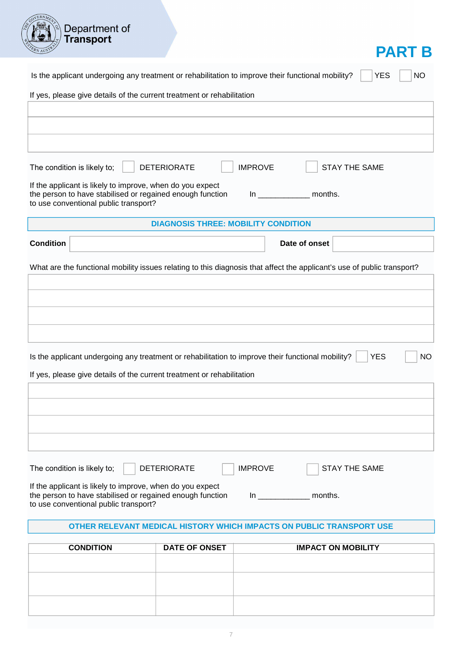| AN P                                                                                                                                                                                      |           |
|-------------------------------------------------------------------------------------------------------------------------------------------------------------------------------------------|-----------|
| Is the applicant undergoing any treatment or rehabilitation to improve their functional mobility?<br><b>YES</b>                                                                           | <b>NO</b> |
| If yes, please give details of the current treatment or rehabilitation                                                                                                                    |           |
|                                                                                                                                                                                           |           |
|                                                                                                                                                                                           |           |
|                                                                                                                                                                                           |           |
| <b>IMPROVE</b><br><b>STAY THE SAME</b><br>The condition is likely to;<br><b>DETERIORATE</b>                                                                                               |           |
| If the applicant is likely to improve, when do you expect<br>the person to have stabilised or regained enough function<br>$\ln$ months.<br>to use conventional public transport?          |           |
| <b>DIAGNOSIS THREE: MOBILITY CONDITION</b>                                                                                                                                                |           |
| <b>Condition</b><br>Date of onset                                                                                                                                                         |           |
| What are the functional mobility issues relating to this diagnosis that affect the applicant's use of public transport?                                                                   |           |
|                                                                                                                                                                                           |           |
|                                                                                                                                                                                           |           |
|                                                                                                                                                                                           |           |
|                                                                                                                                                                                           |           |
| Is the applicant undergoing any treatment or rehabilitation to improve their functional mobility?<br><b>YES</b><br>If yes, please give details of the current treatment or rehabilitation | <b>NO</b> |
|                                                                                                                                                                                           |           |
|                                                                                                                                                                                           |           |
|                                                                                                                                                                                           |           |
|                                                                                                                                                                                           |           |
|                                                                                                                                                                                           |           |
| <b>DETERIORATE</b><br><b>IMPROVE</b><br><b>STAY THE SAME</b><br>The condition is likely to;                                                                                               |           |
| If the applicant is likely to improve, when do you expect<br>the person to have stabilised or regained enough function<br>months.<br>In                                                   |           |

to use conventional public transport?

Department of<br>Transport

#### **OTHER RELEVANT MEDICAL HISTORY WHICH IMPACTS ON PUBLIC TRANSPORT USE**

| <b>CONDITION</b> | <b>DATE OF ONSET</b> | <b>IMPACT ON MOBILITY</b> |
|------------------|----------------------|---------------------------|
|                  |                      |                           |
|                  |                      |                           |
|                  |                      |                           |
|                  |                      |                           |
|                  |                      |                           |
|                  |                      |                           |
|                  |                      |                           |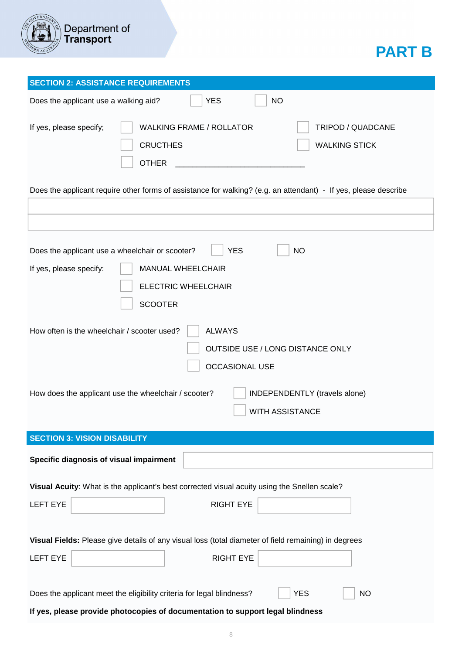

# **PART B**

| <b>SECTION 2: ASSISTANCE REQUIREMENTS</b>                                                                                                                                                                          |  |  |
|--------------------------------------------------------------------------------------------------------------------------------------------------------------------------------------------------------------------|--|--|
| <b>YES</b><br><b>NO</b><br>Does the applicant use a walking aid?                                                                                                                                                   |  |  |
| <b>WALKING FRAME / ROLLATOR</b><br>TRIPOD / QUADCANE<br>If yes, please specify;<br><b>CRUCTHES</b><br><b>WALKING STICK</b><br><b>OTHER</b>                                                                         |  |  |
| Does the applicant require other forms of assistance for walking? (e.g. an attendant) - If yes, please describe                                                                                                    |  |  |
|                                                                                                                                                                                                                    |  |  |
| <b>NO</b><br>Does the applicant use a wheelchair or scooter?<br><b>YES</b><br>If yes, please specify:<br><b>MANUAL WHEELCHAIR</b><br><b>ELECTRIC WHEELCHAIR</b><br><b>SCOOTER</b>                                  |  |  |
| How often is the wheelchair / scooter used?<br><b>ALWAYS</b><br>OUTSIDE USE / LONG DISTANCE ONLY<br><b>OCCASIONAL USE</b><br>How does the applicant use the wheelchair / scooter?<br>INDEPENDENTLY (travels alone) |  |  |
| <b>WITH ASSISTANCE</b>                                                                                                                                                                                             |  |  |
| <b>SECTION 3: VISION DISABILITY</b>                                                                                                                                                                                |  |  |
| Specific diagnosis of visual impairment                                                                                                                                                                            |  |  |
| Visual Acuity: What is the applicant's best corrected visual acuity using the Snellen scale?                                                                                                                       |  |  |
| <b>RIGHT EYE</b><br><b>LEFT EYE</b>                                                                                                                                                                                |  |  |
| Visual Fields: Please give details of any visual loss (total diameter of field remaining) in degrees                                                                                                               |  |  |
| <b>RIGHT EYE</b><br><b>LEFT EYE</b>                                                                                                                                                                                |  |  |
| Does the applicant meet the eligibility criteria for legal blindness?<br><b>YES</b><br><b>NO</b>                                                                                                                   |  |  |
| If yes, please provide photocopies of documentation to support legal blindness                                                                                                                                     |  |  |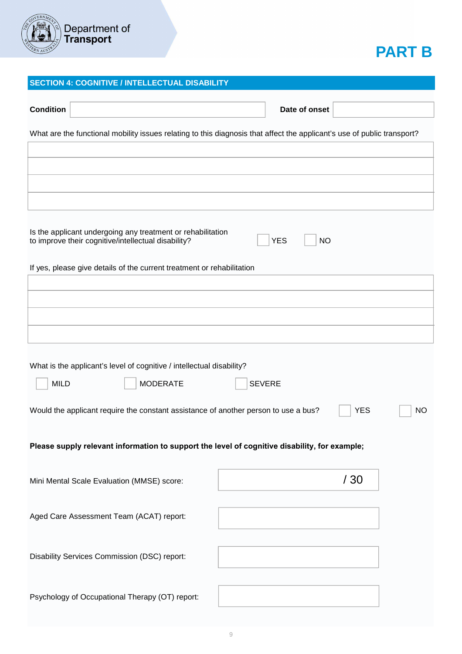

## **PART B**

#### **SECTION 4: COGNITIVE / INTELLECTUAL DISABILITY**

| <b>Condition</b>                                                                                                                              |               | Date of onset |           |  |
|-----------------------------------------------------------------------------------------------------------------------------------------------|---------------|---------------|-----------|--|
| What are the functional mobility issues relating to this diagnosis that affect the applicant's use of public transport?                       |               |               |           |  |
|                                                                                                                                               |               |               |           |  |
|                                                                                                                                               |               |               |           |  |
|                                                                                                                                               |               |               |           |  |
|                                                                                                                                               |               |               |           |  |
| Is the applicant undergoing any treatment or rehabilitation<br><b>YES</b><br><b>NO</b><br>to improve their cognitive/intellectual disability? |               |               |           |  |
| If yes, please give details of the current treatment or rehabilitation                                                                        |               |               |           |  |
|                                                                                                                                               |               |               |           |  |
|                                                                                                                                               |               |               |           |  |
|                                                                                                                                               |               |               |           |  |
|                                                                                                                                               |               |               |           |  |
| What is the applicant's level of cognitive / intellectual disability?<br><b>MILD</b><br><b>MODERATE</b>                                       | <b>SEVERE</b> |               |           |  |
| Would the applicant require the constant assistance of another person to use a bus?                                                           |               | <b>YES</b>    | <b>NO</b> |  |
| Please supply relevant information to support the level of cognitive disability, for example;                                                 |               |               |           |  |
| Mini Mental Scale Evaluation (MMSE) score:                                                                                                    |               | /30           |           |  |
| Aged Care Assessment Team (ACAT) report:                                                                                                      |               |               |           |  |
| Disability Services Commission (DSC) report:                                                                                                  |               |               |           |  |
| Psychology of Occupational Therapy (OT) report:                                                                                               |               |               |           |  |